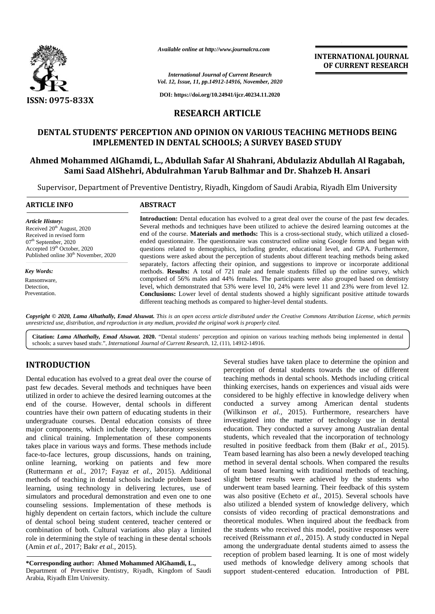

*Available online at http://www.journalcra.com*

# **RESEARCH ARTICLE**

# **DENTAL STUDENTS' PERCEPTION AND OPINION ON VARIOUS TEACHING METHODS BEING IMPLEMENTED IN DENTAL SCHOOLS; A SURVEY BASED STUDY**

# **Ahmed Mohammed AlGhamdi, L., Abdullah Safar Al Shahrani, Abdulaziz Abdullah Al Ragabah, Sami Saad AlShehri, Abdulrahman Yarub Balhmar and Dr. Shahzeb H. Ansari DENTAL STUDENTS' PERCEPTION AND OPINION ON VARIOUS TEACHING METHODS BEING<br>IMPLEMENTED IN DENTAL SCHOOLS; A SURVEY BASED STUDY<br>hmed Mohammed AlGhamdi, L., Abdullah Safar Al Shahrani, Abdulaziz Abdullah Al Ragabah,<br>Sami Saa**

| ISSN: 0975-833X                                                                                                                                                                                                      | Available online at http://www.journalcra.com<br><b>International Journal of Current Research</b><br>Vol. 12, Issue, 11, pp.14912-14916, November, 2020<br>DOI: https://doi.org/10.24941/ijcr.40234.11.2020                                                                                                                                                                                                                                                                                                                                                                                                                                                                                                                           | <b>INTERNATIONAL JOURNAL</b><br>OF CURRENT RESEARCH |
|----------------------------------------------------------------------------------------------------------------------------------------------------------------------------------------------------------------------|---------------------------------------------------------------------------------------------------------------------------------------------------------------------------------------------------------------------------------------------------------------------------------------------------------------------------------------------------------------------------------------------------------------------------------------------------------------------------------------------------------------------------------------------------------------------------------------------------------------------------------------------------------------------------------------------------------------------------------------|-----------------------------------------------------|
|                                                                                                                                                                                                                      | <b>RESEARCH ARTICLE</b>                                                                                                                                                                                                                                                                                                                                                                                                                                                                                                                                                                                                                                                                                                               |                                                     |
|                                                                                                                                                                                                                      | DENTAL STUDENTS' PERCEPTION AND OPINION ON VARIOUS TEACHING METHODS BEING<br><b>IMPLEMENTED IN DENTAL SCHOOLS; A SURVEY BASED STUDY</b><br>Ahmed Mohammed AlGhamdi, L., Abdullah Safar Al Shahrani, Abdulaziz Abdullah Al Ragabah,<br>Sami Saad AlShehri, Abdulrahman Yarub Balhmar and Dr. Shahzeb H. Ansari                                                                                                                                                                                                                                                                                                                                                                                                                         |                                                     |
| <b>ARTICLE INFO</b>                                                                                                                                                                                                  | Supervisor, Department of Preventive Dentistry, Riyadh, Kingdom of Saudi Arabia, Riyadh Elm University<br><b>ABSTRACT</b>                                                                                                                                                                                                                                                                                                                                                                                                                                                                                                                                                                                                             |                                                     |
|                                                                                                                                                                                                                      |                                                                                                                                                                                                                                                                                                                                                                                                                                                                                                                                                                                                                                                                                                                                       |                                                     |
| <b>Article History:</b><br>Received 20 <sup>th</sup> August, 2020<br>Received in revised form<br>07 <sup>th</sup> September, 2020<br>Accepted 19th October, 2020<br>Published online 30 <sup>th</sup> November, 2020 | <b>Introduction:</b> Dental education has evolved to a great deal over the course of the past few decades.<br>Several methods and techniques have been utilized to achieve the desired learning outcomes at the<br>end of the course. Materials and methods: This is a cross-sectional study, which utilized a closed-<br>ended questionnaire. The questionnaire was constructed online using Google forms and began with<br>questions related to demographics, including gender, educational level, and GPA. Furthermore,<br>questions were asked about the perception of students about different teaching methods being asked<br>separately, factors affecting their opinion, and suggestions to improve or incorporate additional |                                                     |

## **INTRODUCTION INTRODUCTION**

Dental education has evolved to a great deal over the course of past few decades. Several methods and techniques have been utilized in order to achieve the desired learning outcomes at the end of the course. However, dental schools in different countries have their own pattern of educating students in their  $\qquad$  (V undergraduate courses. Dental education consists of three undergraduate courses. Dental education consists of three inv<br>major components, which include theory, laboratory sessions edu and clinical training. Implementation of these components takes place in various ways and forms. These methods include and clinical training. Implementation of these components<br>takes place in various ways and forms. These methods include<br>face-to-face lectures, group discussions, hands on training, online learning, working on patients and few more online learning, working on patients and few more r<br>(Ruttermann *et al.*, 2017; Fayaz *et al.*, 2015). Additional methods of teaching in dental schools include problem based methods of teaching in dental schools include problem based sl<br>learning, using technology in delivering lectures, use of un simulators and procedural demonstration and even one to one counseling sessions. Implementation of these methods is highly dependent on certain factors, which include the culture of dental school being student centered, teacher centered or combination of both. Cultural variations also play a limited role in determining the style of teaching in these dental schools (Amin *et al.,* 2017; Bakr *et al.,* 2015). Dental education has evolved to a great deal over the course of<br>past few decades. Several methods and techniques have been<br>utilized in order to achieve the desired learning outcomes at the<br>end of the course. However, denta simulators and procedural demonstration and even one to one counseling sessions. Implementation of these methods is all<br>highly dependent on certain factors, which include the culture co<br>of dental school being student cente combination of both. Cultural variations<br>role in determining the style of teaching in<br>(Amin *et al.*, 2017; Bakr *et al.*, 2015).

**\*Corresponding author: Ahmed Mohammed AlGhamdi, L., \*Corresponding** Department of Preventive Dentistry, Riyadh, Kingdom of Saudi Arabia, Riyadh Elm University. Arabia,

Several studies have taken place to determine the opinion and perception of dental students towards the use of different teaching methods in dental schools. Methods including critical thinking exercises, hands on experiences and visual aids were considered to be highly effective in knowledge delivery when conducted a survey among American dental students (Wilkinson *et al.,* 2015). Furthermore, researchers have investigated into the matter of technology use in dental education. They conducted a survey among Australian dental students, which revealed that the incorporation of technology resulted in positive feedback from them (Bakr *et al.,* 2015). Team based learning has also been a newly developed teaching method in several dental schools. When compared the results of team based learning with traditional methods of teaching, slight better results were achieved by the students who underwent team based learning. Their feedback of this system was also positive (Echeto *et al.,* 2015). Several schools have also utilized a blended system of knowledge delivery, which consists of video recording of practical demonstrations and theoretical modules. When inquired about the feedback from the students who received this model, positive responses were received (Reissmann *et al.*, 2015). A study conducted in Nepal among the undergraduate dental students aimed to assess the reception of problem based learning. It is one of most widely used methods of knowledge delivery among schools that support student-centered education. Introduction of PBL studies have taken place to determine the opinion and<br>on of dental students towards the use of different<br>prethods in dental schools. Methods including critical<br>exercises, hands on experiences and visual aids were<br>red to be 2015). Furthermore, researchers<br>he matter of technology use in<br>ducted a survey among Australian<br>ealed that the incorporation of techn<br>feedback from them (Bakr *et al.*, method in several dental schools. When compared the results<br>of team based learning with traditional methods of teaching,<br>slight better results were achieved by the students who<br>underwent team based learning. Their feedback of problem based learning. It is one of most widely<br>hods of knowledge delivery among schools that<br>student-centered education. Introduction of PBL place in various ways and forms. These methods include<br>o-face lectures, group discussions, hands on training,<br> $\cdot$  learning, working on patients and few more<br>reambled in several dental schools. When compared the results<br>t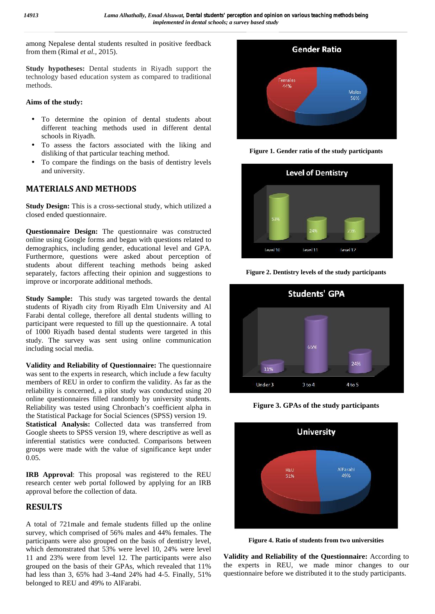among Nepalese dental students resulted in positive feedback from them (Rimal *et al.,* 2015).

**Study hypotheses:** Dental students in Riyadh support the technology based education system as compared to traditional methods.

#### **Aims of the study:**

- To determine the opinion of dental students about different teaching methods used in different dental schools in Riyadh.
- To assess the factors associated with the liking and disliking of that particular teaching method.
- To compare the findings on the basis of dentistry levels and university.

## **MATERIALS AND METHODS**

**Study Design:** This is a cross-sectional study, which utilized a closed ended questionnaire.

**Questionnaire Design:** The questionnaire was constructed online using Google forms and began with questions related to demographics, including gender, educational level and GPA. Furthermore, questions were asked about perception of students about different teaching methods being asked separately, factors affecting their opinion and suggestions to improve or incorporate additional methods.

**Study Sample:** This study was targeted towards the dental students of Riyadh city from Riyadh Elm University and Al Farabi dental college, therefore all dental students willing to participant were requested to fill up the questionnaire. A total of 1000 Riyadh based dental students were targeted in this study. The survey was sent using online communication including social media.

**Validity and Reliability of Questionnaire:** The questionnaire was sent to the experts in research, which include a few faculty members of REU in order to confirm the validity. As far as the reliability is concerned, a pilot study was conducted using 20 online questionnaires filled randomly by university students. Reliability was tested using Chronbach's coefficient alpha in the Statistical Package for Social Sciences (SPSS) version 19. **Statistical Analysis:** Collected data was transferred from Google sheets to SPSS version 19, where descriptive as well as inferential statistics were conducted. Comparisons between groups were made with the value of significance kept under 0.05.

**IRB Approval**: This proposal was registered to the REU research center web portal followed by applying for an IRB approval before the collection of data.

## **RESULTS**

A total of 721male and female students filled up the online survey, which comprised of 56% males and 44% females. The participants were also grouped on the basis of dentistry level, which demonstrated that 53% were level 10, 24% were level 11 and 23% were from level 12. The participants were also grouped on the basis of their GPAs, which revealed that 11% had less than 3, 65% had 3-4and 24% had 4-5. Finally, 51% belonged to REU and 49% to AlFarabi.



**Figure 1. Gender ratio of the study participants**



**Figure 2. Dentistry levels of the study participants**



**Figure 3. GPAs of the study participants**



**Figure 4. Ratio of students from two universities**

**Validity** and **Reliability** of the Questionnaire: According to the experts in REU, we made minor changes to our questionnaire before we distributed it to the study participants.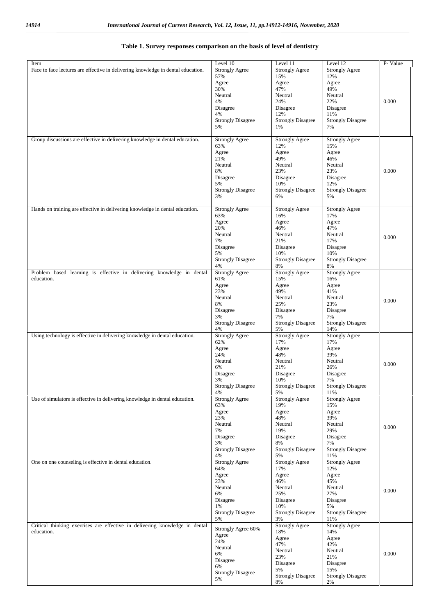| Item                                                                             | Level 10                       | Level 11                          | Level 12                        | P-Value |
|----------------------------------------------------------------------------------|--------------------------------|-----------------------------------|---------------------------------|---------|
| Face to face lectures are effective in delivering knowledge in dental education. | <b>Strongly Agree</b>          | <b>Strongly Agree</b>             | <b>Strongly Agree</b>           |         |
|                                                                                  | 57%<br>Agree                   | 15%<br>Agree                      | 12%<br>Agree                    |         |
|                                                                                  | 30%                            | 47%                               | 49%                             |         |
|                                                                                  | Neutral                        | Neutral                           | Neutral                         |         |
|                                                                                  | 4%                             | 24%                               | 22%                             | 0.000   |
|                                                                                  | Disagree<br>4%                 | Disagree<br>12%                   | Disagree<br>11%                 |         |
|                                                                                  | <b>Strongly Disagree</b>       | <b>Strongly Disagree</b>          | <b>Strongly Disagree</b>        |         |
|                                                                                  | 5%                             | 1%                                | 7%                              |         |
|                                                                                  |                                |                                   |                                 |         |
| Group discussions are effective in delivering knowledge in dental education.     | <b>Strongly Agree</b><br>63%   | <b>Strongly Agree</b><br>12%      | <b>Strongly Agree</b><br>15%    |         |
|                                                                                  | Agree                          | Agree                             | Agree                           |         |
|                                                                                  | 21%                            | 49%                               | 46%                             |         |
|                                                                                  | Neutral                        | Neutral                           | Neutral                         |         |
|                                                                                  | 8%<br>Disagree                 | 23%<br>Disagree                   | 23%<br>Disagree                 | 0.000   |
|                                                                                  | 5%                             | 10%                               | 12%                             |         |
|                                                                                  | <b>Strongly Disagree</b>       | <b>Strongly Disagree</b>          | <b>Strongly Disagree</b>        |         |
|                                                                                  | 3%                             | 6%                                | 5%                              |         |
| Hands on training are effective in delivering knowledge in dental education.     | <b>Strongly Agree</b>          | <b>Strongly Agree</b>             | <b>Strongly Agree</b>           |         |
|                                                                                  | 63%                            | 16%                               | 17%                             |         |
|                                                                                  | Agree                          | Agree                             | Agree                           |         |
|                                                                                  | 20%<br>Neutral                 | 46%<br>Neutral                    | 47%<br>Neutral                  |         |
|                                                                                  | 7%                             | 21%                               | 17%                             | 0.000   |
|                                                                                  | Disagree                       | Disagree                          | Disagree                        |         |
|                                                                                  | 5%                             | 10%                               | 10%                             |         |
|                                                                                  | <b>Strongly Disagree</b><br>4% | <b>Strongly Disagree</b><br>8%    | <b>Strongly Disagree</b><br>8%  |         |
| Problem based learning is effective in delivering knowledge in dental            | <b>Strongly Agree</b>          | <b>Strongly Agree</b>             | <b>Strongly Agree</b>           |         |
| education.                                                                       | 61%                            | 15%                               | 16%                             |         |
|                                                                                  | Agree                          | Agree                             | Agree                           |         |
|                                                                                  | 23%<br>Neutral                 | 49%<br>Neutral                    | 41%<br>Neutral                  |         |
|                                                                                  | 8%                             | 25%                               | 23%                             | 0.000   |
|                                                                                  | Disagree                       | Disagree                          | Disagree                        |         |
|                                                                                  | 3%                             | 7%                                | 7%                              |         |
|                                                                                  | <b>Strongly Disagree</b><br>4% | <b>Strongly Disagree</b><br>5%    | <b>Strongly Disagree</b><br>14% |         |
| Using technology is effective in delivering knowledge in dental education.       | <b>Strongly Agree</b>          | <b>Strongly Agree</b>             | <b>Strongly Agree</b>           |         |
|                                                                                  | 62%                            | 17%                               | 17%                             |         |
|                                                                                  | Agree                          | Agree                             | Agree                           |         |
|                                                                                  | 24%<br>Neutral                 | 48%<br>Neutral                    | 39%<br>Neutral                  |         |
|                                                                                  | 6%                             | 21%                               | 26%                             | 0.000   |
|                                                                                  | Disagree                       | Disagree                          | Disagree                        |         |
|                                                                                  | 3%                             | 10%                               | 7%<br><b>Strongly Disagree</b>  |         |
|                                                                                  | <b>Strongly Disagree</b><br>4% | <b>Strongly Disagree</b><br>5%    | 11%                             |         |
| Use of simulators is effective in delivering knowledge in dental education.      | <b>Strongly Agree</b>          | <b>Strongly Agree</b>             | <b>Strongly Agree</b>           |         |
|                                                                                  | 63%                            | 19%                               | 15%                             |         |
|                                                                                  | Agree<br>23%                   | Agree<br>48%                      | Agree<br>39%                    |         |
|                                                                                  | Neutral                        | Neutral                           | Neutral                         |         |
|                                                                                  | 7%                             | 19%                               | 29%                             | 0.000   |
|                                                                                  | Disagree                       | Disagree                          | Disagree                        |         |
|                                                                                  | 3%<br><b>Strongly Disagree</b> | $8\%$<br><b>Strongly Disagree</b> | 7%<br><b>Strongly Disagree</b>  |         |
|                                                                                  | 4%                             | 5%                                | 11%                             |         |
| One on one counseling is effective in dental education.                          | <b>Strongly Agree</b>          | <b>Strongly Agree</b>             | <b>Strongly Agree</b>           |         |
|                                                                                  | 64%                            | 17%                               | 12%                             |         |
|                                                                                  | Agree<br>23%                   | Agree<br>46%                      | Agree<br>45%                    |         |
|                                                                                  | Neutral                        | Neutral                           | Neutral                         | 0.000   |
|                                                                                  | 6%                             | 25%                               | 27%                             |         |
|                                                                                  | Disagree<br>1%                 | Disagree<br>10%                   | Disagree<br>5%                  |         |
|                                                                                  | <b>Strongly Disagree</b>       | <b>Strongly Disagree</b>          | <b>Strongly Disagree</b>        |         |
|                                                                                  | 5%                             | 3%                                | 11%                             |         |
| Critical thinking exercises are effective in delivering knowledge in dental      | Strongly Agree 60%             | <b>Strongly Agree</b>             | <b>Strongly Agree</b>           |         |
| education.                                                                       | Agree                          | 18%<br>Agree                      | 14%<br>Agree                    |         |
|                                                                                  | 24%                            | 47%                               | 42%                             |         |
|                                                                                  | Neutral<br>6%                  | Neutral                           | Neutral                         | 0.000   |
|                                                                                  | Disagree                       | 23%                               | 21%                             |         |
|                                                                                  | 6%                             | Disagree<br>5%                    | Disagree<br>15%                 |         |
|                                                                                  | <b>Strongly Disagree</b>       | <b>Strongly Disagree</b>          | <b>Strongly Disagree</b>        |         |
|                                                                                  | 5%                             | $8\%$                             | $2\%$                           |         |

#### **Table 1. Survey responses comparison on the basis of level of dentistry**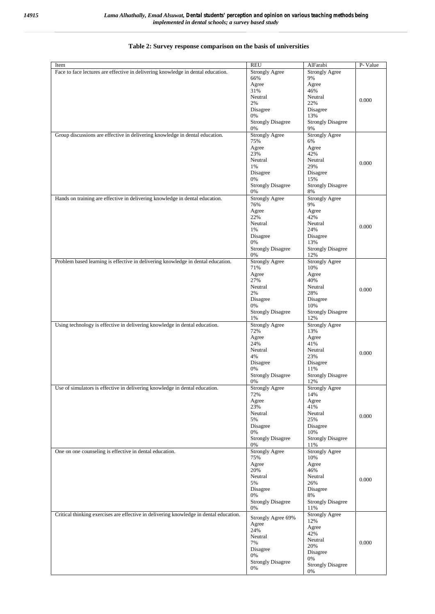| Item                                                                                   | <b>REU</b>               | AlFarabi                 | P-Value |
|----------------------------------------------------------------------------------------|--------------------------|--------------------------|---------|
| Face to face lectures are effective in delivering knowledge in dental education.       | <b>Strongly Agree</b>    | <b>Strongly Agree</b>    |         |
|                                                                                        | 66%                      | 9%                       |         |
|                                                                                        | Agree                    | Agree                    |         |
|                                                                                        | 31%                      | 46%                      |         |
|                                                                                        | Neutral                  | Neutral                  |         |
|                                                                                        | 2%                       | 22%                      | 0.000   |
|                                                                                        |                          |                          |         |
|                                                                                        | Disagree                 | Disagree                 |         |
|                                                                                        | 0%                       | 13%                      |         |
|                                                                                        | <b>Strongly Disagree</b> | <b>Strongly Disagree</b> |         |
|                                                                                        | 0%                       | 9%                       |         |
| Group discussions are effective in delivering knowledge in dental education.           | <b>Strongly Agree</b>    | <b>Strongly Agree</b>    |         |
|                                                                                        | 75%                      | 6%                       |         |
|                                                                                        | Agree                    | Agree                    |         |
|                                                                                        | 23%                      | 42%                      |         |
|                                                                                        | Neutral                  | Neutral                  | 0.000   |
|                                                                                        | 1%                       | 29%                      |         |
|                                                                                        | Disagree                 | Disagree                 |         |
|                                                                                        | 0%                       | 15%                      |         |
|                                                                                        | <b>Strongly Disagree</b> | <b>Strongly Disagree</b> |         |
|                                                                                        | 0%                       | 8%                       |         |
| Hands on training are effective in delivering knowledge in dental education.           | <b>Strongly Agree</b>    | <b>Strongly Agree</b>    |         |
|                                                                                        | 76%                      | 9%                       |         |
|                                                                                        | Agree                    | Agree                    |         |
|                                                                                        | 22%                      | 42%                      |         |
|                                                                                        | Neutral                  | Neutral                  |         |
|                                                                                        | 1%                       | 24%                      | 0.000   |
|                                                                                        | Disagree                 | Disagree                 |         |
|                                                                                        | 0%                       | 13%                      |         |
|                                                                                        | <b>Strongly Disagree</b> | <b>Strongly Disagree</b> |         |
|                                                                                        | 0%                       | 12%                      |         |
| Problem based learning is effective in delivering knowledge in dental education.       | <b>Strongly Agree</b>    | <b>Strongly Agree</b>    |         |
|                                                                                        | 71%                      | 10%                      |         |
|                                                                                        |                          |                          |         |
|                                                                                        | Agree                    | Agree                    |         |
|                                                                                        | 27%                      | 40%                      |         |
|                                                                                        | Neutral                  | Neutral                  | 0.000   |
|                                                                                        | 2%                       | 28%                      |         |
|                                                                                        | Disagree                 | Disagree                 |         |
|                                                                                        | 0%                       | 10%                      |         |
|                                                                                        | <b>Strongly Disagree</b> | <b>Strongly Disagree</b> |         |
|                                                                                        | 1%                       | 12%                      |         |
| Using technology is effective in delivering knowledge in dental education.             | <b>Strongly Agree</b>    | <b>Strongly Agree</b>    |         |
|                                                                                        | 72%                      | 13%                      |         |
|                                                                                        | Agree                    | Agree                    |         |
|                                                                                        | 24%                      | 41%                      |         |
|                                                                                        | Neutral                  | Neutral                  |         |
|                                                                                        | 4%                       | 23%                      | 0.000   |
|                                                                                        | Disagree                 | Disagree                 |         |
|                                                                                        | 0%                       | 11%                      |         |
|                                                                                        | <b>Strongly Disagree</b> | <b>Strongly Disagree</b> |         |
|                                                                                        | 0%                       | 12%                      |         |
| Use of simulators is effective in delivering knowledge in dental education.            | Strongly Agree           | Strongly Agree           |         |
|                                                                                        | 72%                      | 14%                      |         |
|                                                                                        | Agree                    | Agree                    |         |
|                                                                                        | 23%                      | 41%                      |         |
|                                                                                        | Neutral                  | Neutral                  |         |
|                                                                                        | 5%                       | 25%                      | 0.000   |
|                                                                                        | Disagree                 | Disagree                 |         |
|                                                                                        | 0%                       | 10%                      |         |
|                                                                                        |                          |                          |         |
|                                                                                        | <b>Strongly Disagree</b> | <b>Strongly Disagree</b> |         |
|                                                                                        | 0%                       | 11%                      |         |
| One on one counseling is effective in dental education.                                | <b>Strongly Agree</b>    | <b>Strongly Agree</b>    |         |
|                                                                                        | 75%                      | 10%                      |         |
|                                                                                        | Agree                    | Agree                    |         |
|                                                                                        | 20%                      | 46%                      |         |
|                                                                                        | Neutral                  | Neutral                  | 0.000   |
|                                                                                        | 5%                       | 26%                      |         |
|                                                                                        | Disagree                 | Disagree                 |         |
|                                                                                        | 0%                       | 8%                       |         |
|                                                                                        | <b>Strongly Disagree</b> | <b>Strongly Disagree</b> |         |
|                                                                                        | 0%                       | 11%                      |         |
| Critical thinking exercises are effective in delivering knowledge in dental education. | Strongly Agree 69%       | <b>Strongly Agree</b>    |         |
|                                                                                        |                          | 12%                      |         |
|                                                                                        | Agree                    | Agree                    |         |
|                                                                                        | 24%                      | 42%                      |         |
|                                                                                        | Neutral                  | Neutral                  |         |
|                                                                                        | 7%                       | 20%                      | 0.000   |
|                                                                                        | Disagree                 | Disagree                 |         |
|                                                                                        | 0%                       | 0%                       |         |
|                                                                                        | <b>Strongly Disagree</b> | <b>Strongly Disagree</b> |         |
|                                                                                        | 0%                       | 0%                       |         |
|                                                                                        |                          |                          |         |

#### **Table 2: Survey response comparison on the basis of universities**